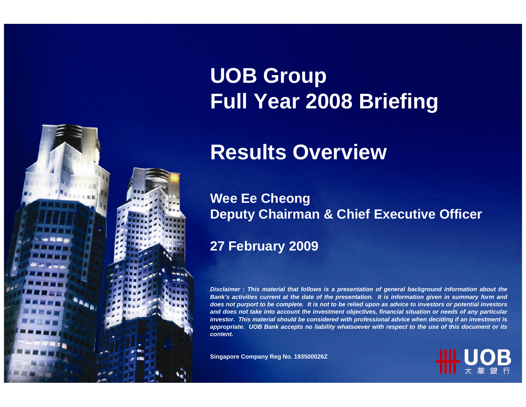# **UOB Group Full Year 2008 Briefing**

## **Results Overview**

### **Wee Ee Cheong Deputy Chairman & Chief Executive Officer**

### **27 February 2009**

*Disclaimer : This material that follows is a presentation of general background information about the Bank's activities current at the date of the presentation. It is information given in summary form and does not purport to be complete. It is not to be relied upon as advice to investors or potential investors and does not take into account the investment objectives, financial situation or needs of any particular investor. This material should be considered with professional advice when deciding if an investment is appropriate. UOB Bank accepts no liability whatsoever with respect to the use of this document or its content.*

**Singapore Company Reg No. 193500026Z**

1

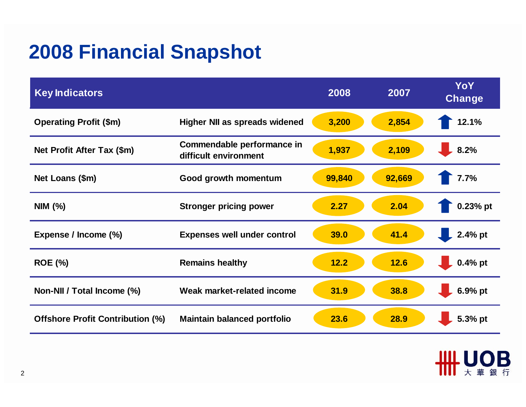## **2008 Financial Snapshot**

| <b>Key Indicators</b>                   |                                                     | 2008   | 2007   | YoY<br><b>Change</b> |
|-----------------------------------------|-----------------------------------------------------|--------|--------|----------------------|
| <b>Operating Profit (\$m)</b>           | <b>Higher NII as spreads widened</b>                | 3,200  | 2,854  | 12.1%                |
| Net Profit After Tax (\$m)              | Commendable performance in<br>difficult environment | 1,937  | 2,109  | 8.2%                 |
| Net Loans (\$m)                         | Good growth momentum                                | 99,840 | 92,669 | 7.7%                 |
| NIM (%)                                 | <b>Stronger pricing power</b>                       | 2.27   | 2.04   | 0.23% pt             |
| Expense / Income (%)                    | <b>Expenses well under control</b>                  | 39.0   | 41.4   | 2.4% pt              |
| <b>ROE (%)</b>                          | <b>Remains healthy</b>                              | 12.2   | 12.6   | $0.4%$ pt            |
| Non-NII / Total Income (%)              | Weak market-related income                          | 31.9   | 38.8   | 6.9% pt              |
| <b>Offshore Profit Contribution (%)</b> | <b>Maintain balanced portfolio</b>                  | 23.6   | 28.9   | 5.3% pt              |

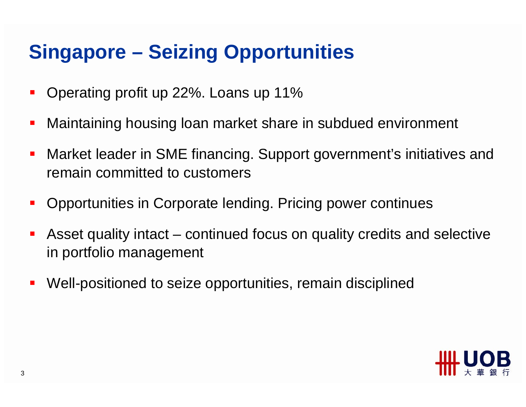# **Singapore – Seizing Opportunities**

- $\mathcal{L}_{\mathcal{A}}$ Operating profit up 22%. Loans up 11%
- $\mathcal{L}_{\mathcal{A}}$ Maintaining housing loan market share in subdued environment
- $\mathcal{L}_{\mathcal{A}}$  Market leader in SME financing. Support government's initiatives and remain committed to customers
- П Opportunities in Corporate lending. Pricing power continues
- Asset quality intact – continued focus on quality credits and selective in portfolio management
- $\mathcal{L}_{\mathcal{A}}$ Well-positioned to seize opportunities, remain disciplined

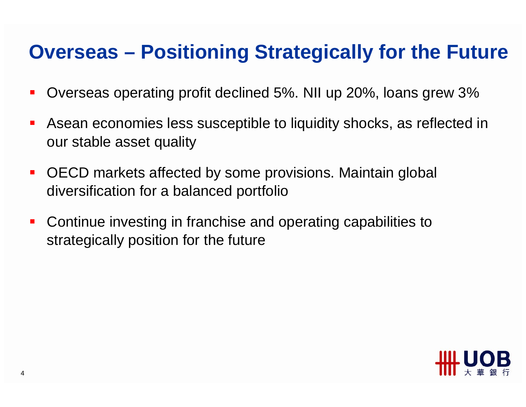### **Overseas – Positioning Strategically for the Future**

- $\blacksquare$ Overseas operating profit declined 5%. NII up 20%, loans grew 3%
- $\mathcal{L}_{\mathcal{A}}$  Asean economies less susceptible to liquidity shocks, as reflected in our stable asset quality
- $\mathcal{L}_{\mathcal{A}}$  OECD markets affected by some provisions. Maintain global diversification for a balanced portfolio
- $\blacksquare$  Continue investing in franchise and operating capabilities to strategically position for the future

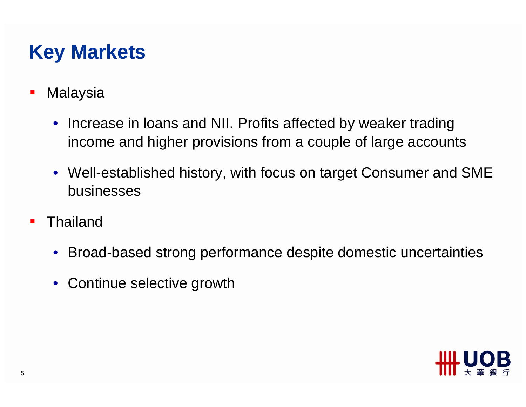## **Key Markets**

- $\blacksquare$ **Malaysia** 
	- Increase in loans and NII. Profits affected by weaker trading income and higher provisions from a couple of large accounts
	- Well-established history, with focus on target Consumer and SME businesses
- П **Thailand** 
	- Broad-based strong performance despite domestic uncertainties
	- Continue selective growth

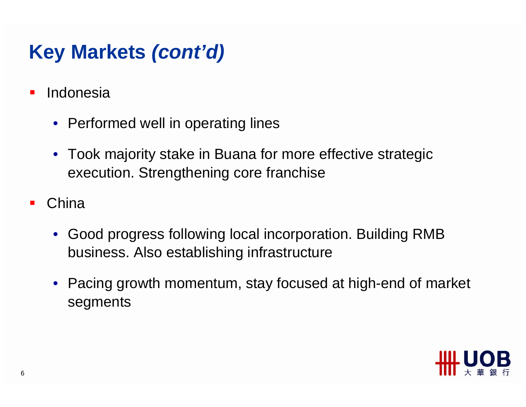# **Key Markets** *(cont'd)*

- $\blacksquare$  Indonesia
	- Performed well in operating lines
	- Took majority stake in Buana for more effective strategic execution. Strengthening core franchise
- $\mathcal{L}_{\mathcal{A}}$ **China** 
	- Good progress following local incorporation. Building RMB business. Also establishing infrastructure
	- Pacing growth momentum, stay focused at high-end of market segments

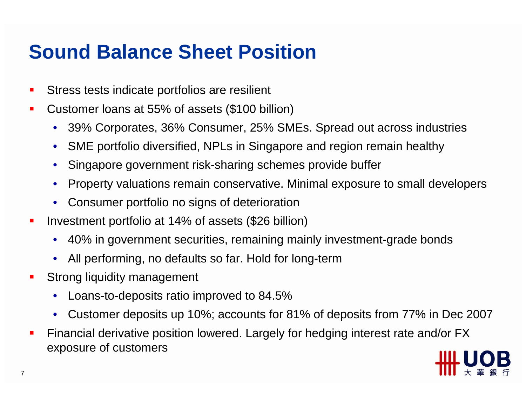## **Sound Balance Sheet Position**

- $\blacksquare$ Stress tests indicate portfolios are resilient
- $\mathcal{L}_{\mathcal{A}}$  Customer loans at 55% of assets (\$100 billion)
	- 39% Corporates, 36% Consumer, 25% SMEs. Spread out across industries
	- SME portfolio diversified, NPLs in Singapore and region remain healthy
	- Singapore government risk-sharing schemes provide buffer
	- Property valuations remain conservative. Minimal exposure to small developers
	- Consumer portfolio no signs of deterioration
- $\blacksquare$  Investment portfolio at 14% of assets (\$26 billion)
	- 40% in government securities, remaining mainly investment-grade bonds
	- All performing, no defaults so far. Hold for long-term
- $\mathcal{L}_{\mathcal{A}}$  Strong liquidity management
	- Loans-to-deposits ratio improved to 84.5%
	- Customer deposits up 10%; accounts for 81% of deposits from 77% in Dec 2007
- $\blacksquare$  Financial derivative position lowered. Largely for hedging interest rate and/or FX exposure of customers

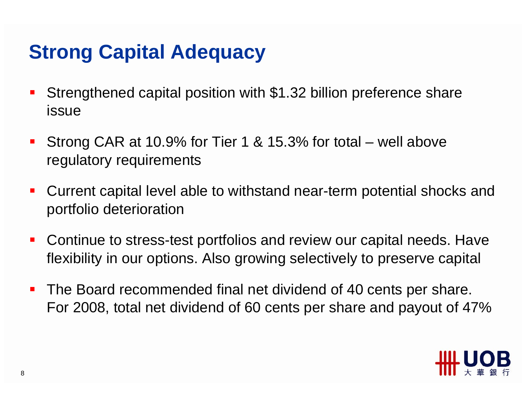# **Strong Capital Adequacy**

- $\mathcal{L}_{\mathcal{A}}$  Strengthened capital position with \$1.32 billion preference share issue
- $\blacksquare$  Strong CAR at 10.9% for Tier 1 & 15.3% for total – well above regulatory requirements
- $\mathcal{L}_{\mathcal{A}}$  Current capital level able to withstand near-term potential shocks and portfolio deterioration
- $\mathcal{L}_{\mathcal{A}}$  Continue to stress-test portfolios and review our capital needs. Have flexibility in our options. Also growing selectively to preserve capital
- $\mathcal{L}_{\mathcal{A}}$  The Board recommended final net dividend of 40 cents per share. For 2008, total net dividend of 60 cents per share and payout of 47%